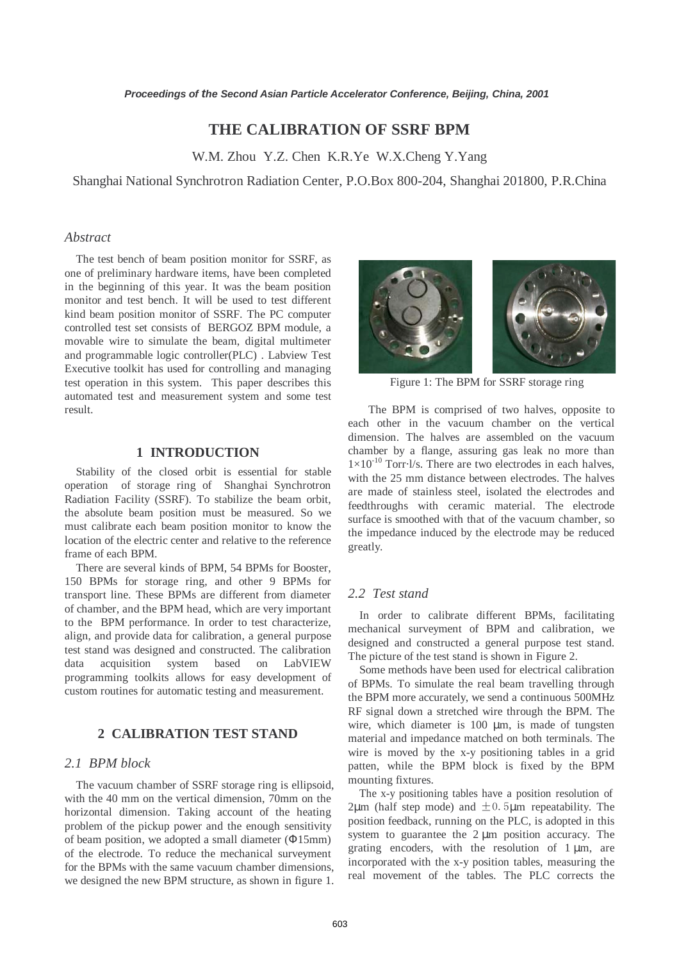# **THE CALIBRATION OF SSRF BPM**

W.M. Zhou Y.Z. Chen K.R.Ye W.X.Cheng Y.Yang

Shanghai National Synchrotron Radiation Center, P.O.Box 800-204, Shanghai 201800, P.R.China

### *Abstract*

The test bench of beam position monitor for SSRF, as one of preliminary hardware items, have been completed in the beginning of this year. It was the beam position monitor and test bench. It will be used to test different kind beam position monitor of SSRF. The PC computer controlled test set consists of BERGOZ BPM module, a movable wire to simulate the beam, digital multimeter and programmable logic controller(PLC) . Labview Test Executive toolkit has used for controlling and managing test operation in this system. This paper describes this automated test and measurement system and some test result.

# **1 INTRODUCTION**

Stability of the closed orbit is essential for stable operation of storage ring of Shanghai Synchrotron Radiation Facility (SSRF). To stabilize the beam orbit, the absolute beam position must be measured. So we must calibrate each beam position monitor to know the location of the electric center and relative to the reference frame of each BPM.

There are several kinds of BPM, 54 BPMs for Booster, 150 BPMs for storage ring, and other 9 BPMs for transport line. These BPMs are different from diameter of chamber, and the BPM head, which are very important to the BPM performance. In order to test characterize, align, and provide data for calibration, a general purpose test stand was designed and constructed. The calibration data acquisition system based on LabVIEW programming toolkits allows for easy development of custom routines for automatic testing and measurement.

# **2 CALIBRATION TEST STAND**

### *2.1 BPM block*

The vacuum chamber of SSRF storage ring is ellipsoid, with the 40 mm on the vertical dimension, 70mm on the horizontal dimension. Taking account of the heating problem of the pickup power and the enough sensitivity of beam position, we adopted a small diameter (Φ15mm) of the electrode. To reduce the mechanical surveyment for the BPMs with the same vacuum chamber dimensions, we designed the new BPM structure, as shown in figure 1.



Figure 1: The BPM for SSRF storage ring

 The BPM is comprised of two halves, opposite to each other in the vacuum chamber on the vertical dimension. The halves are assembled on the vacuum chamber by a flange, assuring gas leak no more than  $1\times10^{-10}$  Torr $\cdot$ l/s. There are two electrodes in each halves, with the 25 mm distance between electrodes. The halves are made of stainless steel, isolated the electrodes and feedthroughs with ceramic material. The electrode surface is smoothed with that of the vacuum chamber, so the impedance induced by the electrode may be reduced greatly.

# *2.2 Test stand*

In order to calibrate different BPMs, facilitating mechanical surveyment of BPM and calibration, we designed and constructed a general purpose test stand. The picture of the test stand is shown in Figure 2.

Some methods have been used for electrical calibration of BPMs. To simulate the real beam travelling through the BPM more accurately, we send a continuous 500MHz RF signal down a stretched wire through the BPM. The wire, which diameter is 100 µm, is made of tungsten material and impedance matched on both terminals. The wire is moved by the x-y positioning tables in a grid patten, while the BPM block is fixed by the BPM mounting fixtures.

The x-y positioning tables have a position resolution of  $2\mu$ m (half step mode) and  $\pm 0$ . 5 $\mu$ m repeatability. The position feedback, running on the PLC, is adopted in this system to guarantee the  $2 \mu m$  position accuracy. The grating encoders, with the resolution of  $1 \mu m$ , are incorporated with the x-y position tables, measuring the real movement of the tables. The PLC corrects the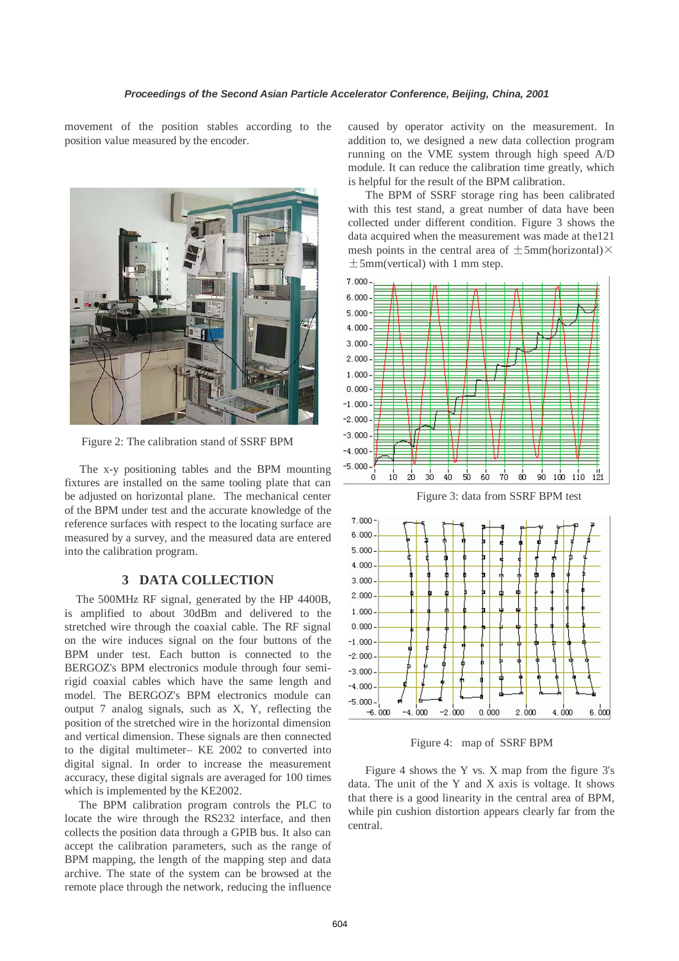movement of the position stables according to the position value measured by the encoder.



Figure 2: The calibration stand of SSRF BPM

 The x-y positioning tables and the BPM mounting fixtures are installed on the same tooling plate that can be adjusted on horizontal plane. The mechanical center of the BPM under test and the accurate knowledge of the reference surfaces with respect to the locating surface are measured by a survey, and the measured data are entered into the calibration program.

### **3 DATA COLLECTION**

The 500MHz RF signal, generated by the HP 4400B, is amplified to about 30dBm and delivered to the stretched wire through the coaxial cable. The RF signal on the wire induces signal on the four buttons of the BPM under test. Each button is connected to the BERGOZ's BPM electronics module through four semirigid coaxial cables which have the same length and model. The BERGOZ's BPM electronics module can output 7 analog signals, such as X, Y, reflecting the position of the stretched wire in the horizontal dimension and vertical dimension. These signals are then connected to the digital multimeter– KE 2002 to converted into digital signal. In order to increase the measurement accuracy, these digital signals are averaged for 100 times which is implemented by the KE2002.

 The BPM calibration program controls the PLC to locate the wire through the RS232 interface, and then collects the position data through a GPIB bus. It also can accept the calibration parameters, such as the range of BPM mapping, the length of the mapping step and data archive. The state of the system can be browsed at the remote place through the network, reducing the influence caused by operator activity on the measurement. In addition to, we designed a new data collection program running on the VME system through high speed A/D module. It can reduce the calibration time greatly, which is helpful for the result of the BPM calibration.

 The BPM of SSRF storage ring has been calibrated with this test stand, a great number of data have been collected under different condition. Figure 3 shows the data acquired when the measurement was made at the121 mesh points in the central area of  $\pm 5$ mm(horizontal) $\times$  $\pm$ 5mm(vertical) with 1 mm step.



Figure 3: data from SSRF BPM test



Figure 4: map of SSRF BPM

 Figure 4 shows the Y vs. X map from the figure 3's data. The unit of the Y and X axis is voltage. It shows that there is a good linearity in the central area of BPM, while pin cushion distortion appears clearly far from the central.